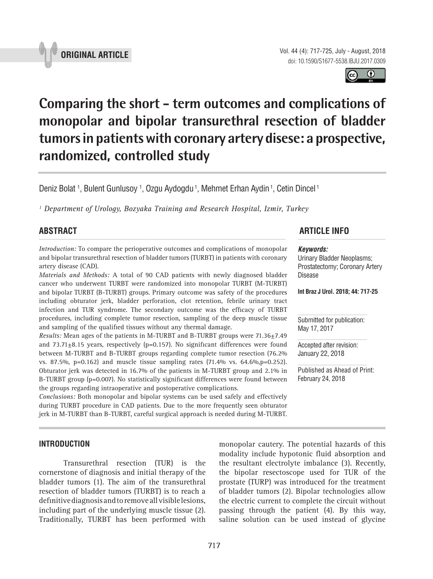



# **Comparing the short - term outcomes and complications of monopolar and bipolar transurethral resection of bladder tumors in patients with coronary artery disese: a prospective, randomized, controlled study \_\_\_\_\_\_\_\_\_\_\_\_\_\_\_\_\_\_\_\_\_\_\_\_\_\_\_\_\_\_\_\_\_\_\_\_\_\_\_\_\_\_\_\_\_\_\_**

Deniz Bolat <sup>1</sup>, Bulent Gunlusoy <sup>1</sup>, Ozgu Aydogdu <sup>1</sup>, Mehmet Erhan Aydin <sup>1</sup>, Cetin Dincel <sup>1</sup>

*1 Department of Urology, Bozyaka Training and Research Hospital, Izmir, Turkey*

*Introduction:* To compare the perioperative outcomes and complications of monopolar and bipolar transurethral resection of bladder tumors (TURBT) in patients with coronary artery disease (CAD).

*Materials and Methods:* A total of 90 CAD patients with newly diagnosed bladder cancer who underwent TURBT were randomized into monopolar TURBT (M-TURBT) and bipolar TURBT (B-TURBT) groups. Primary outcome was safety of the procedures including obturator jerk, bladder perforation, clot retention, febrile urinary tract infection and TUR syndrome. The secondary outcome was the efficacy of TURBT procedures, including complete tumor resection, sampling of the deep muscle tissue and sampling of the qualified tissues without any thermal damage.

*Results:* Mean ages of the patients in M-TURBT and B-TURBT groups were 71.36±7.49 and  $73.71\pm8.15$  years, respectively (p=0.157). No significant differences were found between M-TURBT and B-TURBT groups regarding complete tumor resection (76.2% vs. 87.5%, p=0.162) and muscle tissue sampling rates (71.4% vs. 64.6%,p=0.252). Obturator jerk was detected in 16.7% of the patients in M-TURBT group and 2.1% in B-TURBT group (p=0.007). No statistically significant differences were found between the groups regarding intraoperative and postoperative complications.

*Conclusions:* Both monopolar and bipolar systems can be used safely and effectively during TURBT procedure in CAD patients. Due to the more frequently seen obturator jerk in M-TURBT than B-TURBT, careful surgical approach is needed during M-TURBT.

## **ABSTRACT ARTICLE INFO** *\_\_\_\_\_\_\_\_\_\_\_\_\_\_\_\_\_\_\_\_\_\_\_\_\_\_\_\_\_\_\_\_\_\_\_\_\_\_\_\_\_\_\_\_\_\_\_\_\_\_\_\_\_\_\_\_\_\_\_\_\_\_ \_\_\_\_\_\_\_\_\_\_\_\_\_\_\_\_\_\_\_\_\_\_*

#### *Keywords:*

Urinary Bladder Neoplasms; Prostatectomy; Coronary Artery Disease

**Int Braz J Urol. 2018; 44: 717-25**

Submitted for publication: May 17, 2017

Accepted after revision: January 22, 2018

Published as Ahead of Print: February 24, 2018

#### **INTRODUCTION**

Transurethral resection (TUR) is the cornerstone of diagnosis and initial therapy of the bladder tumors (1). The aim of the transurethral resection of bladder tumors (TURBT) is to reach a definitive diagnosis and to remove all visible lesions, including part of the underlying muscle tissue (2). Traditionally, TURBT has been performed with monopolar cautery. The potential hazards of this modality include hypotonic fluid absorption and the resultant electrolyte imbalance (3). Recently, the bipolar resectoscope used for TUR of the prostate (TURP) was introduced for the treatment of bladder tumors (2). Bipolar technologies allow the electric current to complete the circuit without passing through the patient (4). By this way, saline solution can be used instead of glycine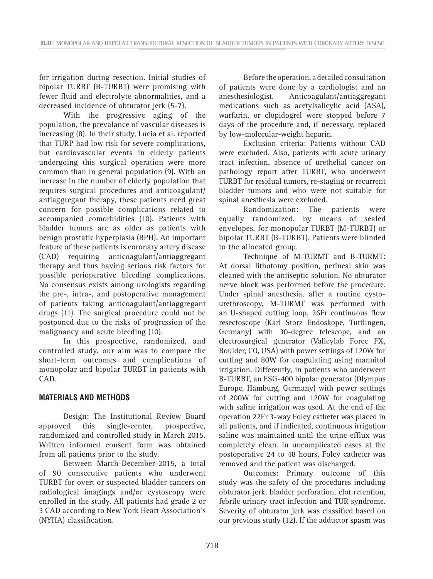for irrigation during resection. Initial studies of bipolar TURBT (B-TURBT) were promising with fewer fluid and electrolyte abnormalities, and a decreased incidence of obturator jerk (5-7).

With the progressive aging of the population, the prevalance of vascular diseases is increasing (8). In their study, Lucia et al. reported that TURP had low risk for severe complications, but cardiovascular events in elderly patients undergoing this surgical operation were more common than in general population (9). With an increase in the number of elderly population that requires surgical procedures and anticoagulant/ antiaggregant therapy, these patients need great concern for possible complications related to accompanied comorbidities (10). Patients with bladder tumors are as older as patients with benign prostatic hyperplasia (BPH). An important feature of these patients is coronary artery disease (CAD) requiring anticoagulant/antiaggregant therapy and thus having serious risk factors for possible perioperative bleeding complications. No consensus exists among urologists regarding the pre-, intra-, and postoperative management of patients taking anticoagulant/antiaggregant drugs (11). The surgical procedure could not be postponed due to the risks of progression of the malignancy and acute bleeding (10).

In this prospective, randomized, and controlled study, our aim was to compare the short-term outcomes and complications of monopolar and bipolar TURBT in patients with CAD.

#### **MATERIALS AND METHODS**

Design: The Institutional Review Board approved this single-center, prospective, randomized and controlled study in March 2015. Written informed consent form was obtained from all patients prior to the study.

Between March-December-2015, a total of 90 consecutive patients who underwent TURBT for overt or suspected bladder cancers on radiological imagings and/or cystoscopy were enrolled in the study. All patients had grade 2 or 3 CAD according to New York Heart Association's (NYHA) classification.

Before the operation, a detailed consultation of patients were done by a cardiologist and an anesthesiologist. Anticoagulant/antiaggregant medications such as acetylsalicylic acid (ASA), warfarin, or clopidogrel were stopped before 7 days of the procedure and, if necessary, replaced by low-molecular-weight heparin.

Exclusion criteria: Patients without CAD were excluded. Also, patients with acute urinary tract infection, absence of urethelial cancer on pathology report after TURBT, who underwent TURBT for residual tumors, re-staging or recurrent bladder tumors and who were not suitable for spinal anesthesia were excluded.

Randomization: The patients were equally randomized, by means of sealed envelopes, for monopolar TURBT (M-TURBT) or bipolar TURBT (B-TURBT). Patients were blinded to the allocated group.

Technique of M-TURMT and B-TURMT: At dorsal lithotomy position, perineal skin was cleaned with the antiseptic solution. No obturator nerve block was performed before the procedure. Under spinal anesthesia, after a routine cystourethroscopy, M-TURMT was performed with an U-shaped cutting loop, 26Fr continuous flow resectoscope (Karl Storz Endoskope, Tuttlingen, Germany) with 30-degree telescope, and an electrosurgical generator (Valleylab Force FX, Boulder, CO, USA) with power settings of 120W for cutting and 80W for coagulating using mannitol irrigation. Differently, in patients who underwent B-TURBT, an ESG-400 bipolar generator (Olympus Europe, Hamburg, Germany) with power settings of 200W for cutting and 120W for coagulating with saline irrigation was used. At the end of the operation 22Fr 3-way Foley catheter was placed in all patients, and if indicated, continuous irrigation saline was maintained until the urine efflux was completely clean. In uncomplicated cases at the postoperative 24 to 48 hours, Foley catheter was removed and the patient was discharged.

Outcomes: Primary outcome of this study was the safety of the procedures including obturator jerk, bladder perforation, clot retention, febrile urinary tract infection and TUR syndrome. Severity of obturator jerk was classified based on our previous study (12). If the adductor spasm was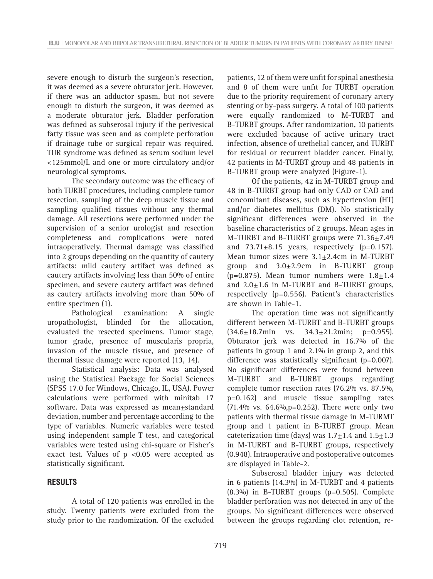severe enough to disturb the surgeon's resection, it was deemed as a severe obturator jerk. However, if there was an adductor spasm, but not severe enough to disturb the surgeon, it was deemed as a moderate obturator jerk. Bladder perforation was defined as subserosal injury if the perivesical fatty tissue was seen and as complete perforation if drainage tube or surgical repair was required. TUR syndrome was defined as serum sodium level <125mmol/L and one or more circulatory and/or neurological symptoms.

The secondary outcome was the efficacy of both TURBT procedures, including complete tumor resection, sampling of the deep muscle tissue and sampling qualified tissues without any thermal damage. All resections were performed under the supervision of a senior urologist and resection completeness and complications were noted intraoperatively. Thermal damage was classified into 2 groups depending on the quantity of cautery artifacts: mild cautery artifact was defined as cautery artifacts involving less than 50% of entire specimen, and severe cautery artifact was defined as cautery artifacts involving more than 50% of entire specimen (1).

Pathological examination: A single uropathologist, blinded for the allocation, evaluated the resected specimens. Tumor stage, tumor grade, presence of muscularis propria, invasion of the muscle tissue, and presence of thermal tissue damage were reported (13, 14).

Statistical analysis: Data was analysed using the Statistical Package for Social Sciences (SPSS 17.0 for Windows, Chicago, IL, USA). Power calculations were performed with minitab 17 software. Data was expressed as mean±standard deviation, number and percentage according to the type of variables. Numeric variables were tested using independent sample T test, and categorical variables were tested using chi-square or Fisher's exact test. Values of p <0.05 were accepted as statistically significant.

#### **RESULTS**

A total of 120 patients was enrolled in the study. Twenty patients were excluded from the study prior to the randomization. Of the excluded patients, 12 of them were unfit for spinal anesthesia and 8 of them were unfit for TURBT operation due to the priority requirement of coronary artery stenting or by-pass surgery. A total of 100 patients were equally randomized to M-TURBT and B-TURBT groups. After randomization, 10 patients were excluded bacause of active urinary tract infection, absence of urethelial cancer, and TURBT for residual or recurrent bladder cancer. Finally, 42 patients in M-TURBT group and 48 patients in B-TURBT group were analyzed (Figure-1).

Of the patients, 42 in M-TURBT group and 48 in B-TURBT group had only CAD or CAD and concomitant diseases, such as hypertension (HT) and/or diabetes mellitus (DM). No statistically significant differences were observed in the baseline characteristics of 2 groups. Mean ages in M-TURBT and B-TURBT groups were 71.36±7.49 and  $73.71\pm8.15$  years, respectively (p=0.157). Mean tumor sizes were 3.1±2.4cm in M-TURBT group and 3.0±2.9cm in B-TURBT group (p=0.875). Mean tumor numbers were  $1.8 \pm 1.4$ and  $2.0 \pm 1.6$  in M-TURBT and B-TURBT groups, respectively (p=0.556). Patient's characteristics are shown in Table-1.

The operation time was not significantly different between M-TURBT and B-TURBT groups  $(34.6 \pm 18.7 \text{min}$  vs.  $34.3 \pm 21.2 \text{min}$ ; p=0.955). Obturator jerk was detected in 16.7% of the patients in group 1 and 2.1% in group 2, and this difference was statistically significant (p=0.007). No significant differences were found between M-TURBT and B-TURBT groups regarding complete tumor resection rates (76.2% vs. 87.5%, p=0.162) and muscle tissue sampling rates  $(71.4\% \text{ vs. } 64.6\%, p=0.252)$ . There were only two patients with thermal tissue damage in M-TURMT group and 1 patient in B-TURBT group. Mean cateterization time (days) was  $1.7 \pm 1.4$  and  $1.5 \pm 1.3$ in M-TURBT and B-TURBT groups, respectively (0.948). Intraoperative and postoperative outcomes are displayed in Table-2.

Subserosal bladder injury was detected in 6 patients (14.3%) in M-TURBT and 4 patients (8.3%) in B-TURBT groups (p=0.505). Complete bladder perforation was not detected in any of the groups. No significant differences were observed between the groups regarding clot retention, re-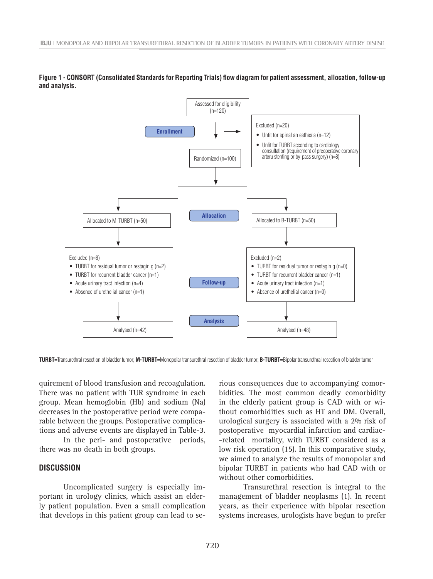

**Figure 1 - CONSORT (Consolidated Standards for Reporting Trials) flow diagram for patient assessment, allocation, follow-up and analysis.**

**TURBT=**Transurethral resection of bladder tumor; **M-TURBT=**Monopolar transurethral resection of bladder tumor; **B-TURBT=**Bipolar transurethral resection of bladder tumor

quirement of blood transfusion and recoagulation. There was no patient with TUR syndrome in each group. Mean hemoglobin (Hb) and sodium (Na) decreases in the postoperative period were comparable between the groups. Postoperative complications and adverse events are displayed in Table-3.

In the peri- and postoperative periods, there was no death in both groups.

## **DISCUSSION**

Uncomplicated surgery is especially important in urology clinics, which assist an elderly patient population. Even a small complication that develops in this patient group can lead to se-

rious consequences due to accompanying comorbidities. The most common deadly comorbidity in the elderly patient group is CAD with or without comorbidities such as HT and DM. Overall, urological surgery is associated with a 2% risk of postoperative myocardial infarction and cardiac- -related mortality, with TURBT considered as a low risk operation (15). In this comparative study, we aimed to analyze the results of monopolar and bipolar TURBT in patients who had CAD with or without other comorbidities.

Transurethral resection is integral to the management of bladder neoplasms (1). In recent years, as their experience with bipolar resection systems increases, urologists have begun to prefer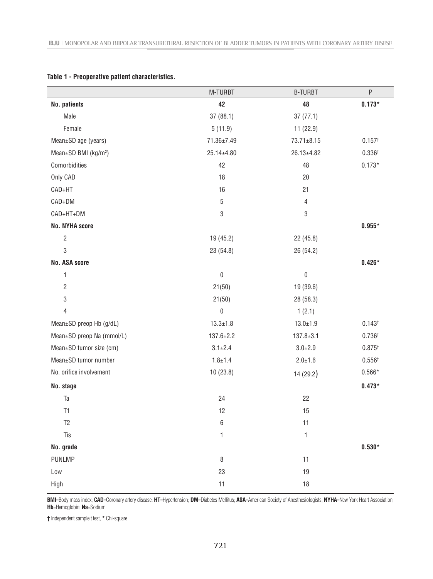|                                  | M-TURBT          | <b>B-TURBT</b>   | $\sf P$         |
|----------------------------------|------------------|------------------|-----------------|
| No. patients                     | 42               | 48               | $0.173*$        |
| Male                             | 37(88.1)         | 37(77.1)         |                 |
| Female                           | 5(11.9)          | 11(22.9)         |                 |
| Mean±SD age (years)              | 71.36±7.49       | $73.71 \pm 8.15$ | $0.157^{+}$     |
| Mean±SD BMI (kg/m <sup>2</sup> ) | 25.14±4.80       | 26.13±4.82       | $0.336^{+}$     |
| Comorbidities                    | 42               | 48               | $0.173*$        |
| Only CAD                         | 18               | 20               |                 |
| CAD+HT                           | 16               | 21               |                 |
| CAD+DM                           | $\mathbf 5$      | $\overline{4}$   |                 |
| CAD+HT+DM                        | 3                | 3                |                 |
| <b>No. NYHA score</b>            |                  |                  | $0.955*$        |
| $\sqrt{2}$                       | 19 (45.2)        | 22(45.8)         |                 |
| 3                                | 23 (54.8)        | 26 (54.2)        |                 |
| No. ASA score                    |                  |                  | $0.426*$        |
| 1                                | $\pmb{0}$        | 0                |                 |
| $\sqrt{2}$                       | 21(50)           | 19 (39.6)        |                 |
| $\ensuremath{\mathsf{3}}$        | 21(50)           | 28 (58.3)        |                 |
| 4                                | $\boldsymbol{0}$ | 1(2.1)           |                 |
| Mean±SD preop Hb (g/dL)          | $13.3 \pm 1.8$   | $13.0 \pm 1.9$   | $0.143^{+}$     |
| Mean±SD preop Na (mmol/L)        | $137.6 \pm 2.2$  | $137.8 \pm 3.1$  | $0.736^{+}$     |
| Mean±SD tumor size (cm)          | $3.1 \pm 2.4$    | $3.0 \pm 2.9$    | $0.875^{+}$     |
| Mean±SD tumor number             | $1.8 + 1.4$      | $2.0 + 1.6$      | $0.556^{+}$     |
| No. orifice involvement          | 10(23.8)         | 14 (29.2)        | $0.566^{\star}$ |
| No. stage                        |                  |                  | $0.473*$        |
| Ta                               | 24               | 22               |                 |
| T1                               | 12               | 15               |                 |
| T <sub>2</sub>                   | $\,6$            | 11               |                 |
| Tis                              | $\mathbf{1}$     | $\mathbf{1}$     |                 |
| No. grade                        |                  |                  | $0.530*$        |
| <b>PUNLMP</b>                    | 8                | 11               |                 |
| Low                              | 23               | 19               |                 |
| High                             | 11               | $18$             |                 |

#### **Table 1 - Preoperative patient characteristics.**

**BMI**=Body mass index; **CAD**=Coronary artery disease; **HT**=Hypertension; **DM**=Diabetes Mellitus; **ASA**=American Society of Anesthesiologists; **NYHA**=New York Heart Association; **Hb**=Hemoglobin; **Na**=Sodium

**†** Independent sample t test, **\*** Chi-square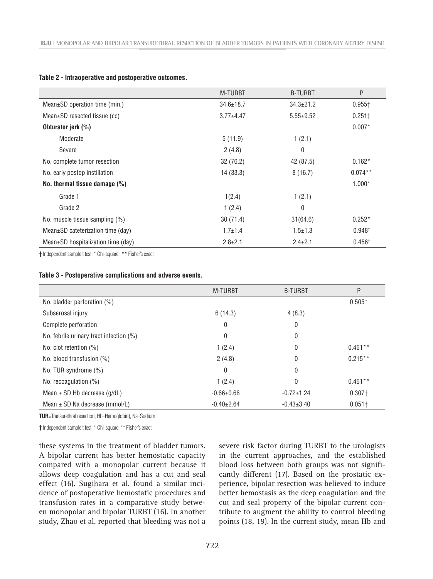|  | Table 2 - Intraoperative and postoperative outcomes. |  |  |  |
|--|------------------------------------------------------|--|--|--|
|--|------------------------------------------------------|--|--|--|

|                                          | <b>M-TURBT</b>  | <b>B-TURBT</b>  | P                  |
|------------------------------------------|-----------------|-----------------|--------------------|
| Mean±SD operation time (min.)            | $34.6 \pm 18.7$ | $34.3 \pm 21.2$ | $0.955 +$          |
| $Mean \pm SD$ resected tissue (cc)       | $3.77 + 4.47$   | $5.55 \pm 9.52$ | $0.251 +$          |
| Obturator jerk (%)                       |                 |                 | $0.007*$           |
| Moderate                                 | 5(11.9)         | 1(2.1)          |                    |
| Severe                                   | 2(4.8)          | 0               |                    |
| No. complete tumor resection             | 32(76.2)        | 42 (87.5)       | $0.162*$           |
| No. early postop instillation            | 14(33.3)        | 8(16.7)         | $0.074**$          |
| No. thermal tissue damage $(\%)$         |                 |                 | $1.000*$           |
| Grade 1                                  | 1(2.4)          | 1(2.1)          |                    |
| Grade 2                                  | 1(2.4)          | 0               |                    |
| No. muscle tissue sampling (%)           | 30(71.4)        | 31(64.6)        | $0.252*$           |
| Mean±SD cateterization time (day)        | $1.7 \pm 1.4$   | $1.5 \pm 1.3$   | 0.948 <sup>†</sup> |
| Mean $\pm$ SD hospitalization time (day) | $2.8 \pm 2.1$   | $2.4 \pm 2.1$   | $0.456^{+}$        |
|                                          |                 |                 |                    |

**†** Independent sample t test; \* Chi-square; **\*\*** Fisher's exact

|                                         | <b>M-TURBT</b>   | <b>B-TURBT</b>   | P         |
|-----------------------------------------|------------------|------------------|-----------|
| No. bladder perforation (%)             |                  |                  | $0.505*$  |
| Subserosal injury                       | 6(14.3)          | 4(8.3)           |           |
| Complete perforation                    | 0                | 0                |           |
| No. febrile urinary tract infection (%) | 0                | $\theta$         |           |
| No. clot retention $(\%)$               | 1(2.4)           | $\theta$         | $0.461**$ |
| No. blood transfusion (%)               | 2(4.8)           | $\theta$         | $0.215**$ |
| No. TUR syndrome (%)                    | 0                | $\theta$         |           |
| No. recoagulation $(%)$                 | 1(2.4)           | $\Omega$         | $0.461**$ |
| Mean $\pm$ SD Hb decrease (g/dL)        | $-0.66 \pm 0.66$ | $-0.72 \pm 1.24$ | $0.307+$  |
| Mean $\pm$ SD Na decrease (mmol/L)      | $-0.40+2.64$     | $-0.43+3.40$     | $0.051+$  |

**TUR=**Transurethral resection, Hb=Hemoglobin), Na=Sodium

**†** Independent sample t test; \* Chi-square; \*\* Fisher's exact

these systems in the treatment of bladder tumors. A bipolar current has better hemostatic capacity compared with a monopolar current because it allows deep coagulation and has a cut and seal effect (16). Sugihara et al. found a similar incidence of postoperative hemostatic procedures and transfusion rates in a comparative study between monopolar and bipolar TURBT (16). In another study, Zhao et al. reported that bleeding was not a severe risk factor during TURBT to the urologists in the current approaches, and the established blood loss between both groups was not significantly different (17). Based on the prostatic experience, bipolar resection was believed to induce better hemostasis as the deep coagulation and the cut and seal property of the bipolar current contribute to augment the ability to control bleeding points (18, 19). In the current study, mean Hb and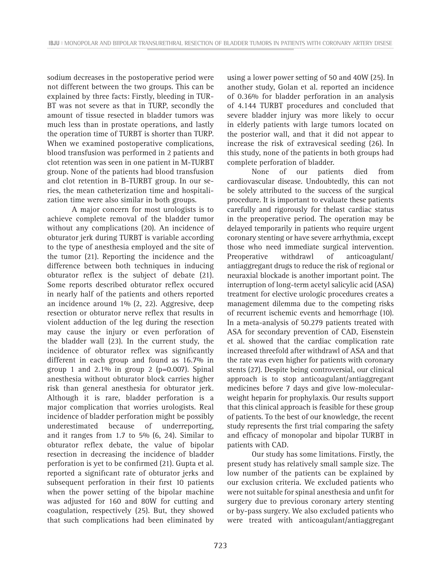sodium decreases in the postoperative period were not different between the two groups. This can be explained by three facts: Firstly, bleeding in TUR-BT was not severe as that in TURP, secondly the amount of tissue resected in bladder tumors was much less than in prostate operations, and lastly the operation time of TURBT is shorter than TURP. When we examined postoperative complications, blood transfusion was performed in 2 patients and clot retention was seen in one patient in M-TURBT group. None of the patients had blood transfusion and clot retention in B-TURBT group. In our series, the mean catheterization time and hospitalization time were also similar in both groups.

A major concern for most urologists is to achieve complete removal of the bladder tumor without any complications (20). An incidence of obturator jerk during TURBT is variable according to the type of anesthesia employed and the site of the tumor (21). Reporting the incidence and the difference between both techniques in inducing obturator reflex is the subject of debate (21). Some reports described obturator reflex occured in nearly half of the patients and others reported an incidence around 1% (2, 22). Aggresive, deep resection or obturator nerve reflex that results in violent adduction of the leg during the resection may cause the injury or even perforation of the bladder wall (23). In the current study, the incidence of obturator reflex was significantly different in each group and found as 16.7% in group 1 and  $2.1\%$  in group 2 (p=0.007). Spinal anesthesia without obturator block carries higher risk than general anesthesia for obturator jerk. Although it is rare, bladder perforation is a major complication that worries urologists. Real incidence of bladder perforation might be possibly underestimated because of underreporting, and it ranges from 1.7 to 5% (6, 24). Similar to obturator reflex debate, the value of bipolar resection in decreasing the incidence of bladder perforation is yet to be confirmed (21). Gupta et al. reported a significant rate of obturator jerks and subsequent perforation in their first 10 patients when the power setting of the bipolar machine was adjusted for 160 and 80W for cutting and coagulation, respectively (25). But, they showed that such complications had been eliminated by using a lower power setting of 50 and 40W (25). In another study, Golan et al. reported an incidence of 0.36% for bladder perforation in an analysis of 4.144 TURBT procedures and concluded that severe bladder injury was more likely to occur in elderly patients with large tumors located on the posterior wall, and that it did not appear to increase the risk of extravesical seeding (26). In this study, none of the patients in both groups had complete perforation of bladder.

None of our patients died from cardiovascular disease. Undoubtedly, this can not be solely attributed to the success of the surgical procedure. It is important to evaluate these patients carefully and rigorously for thelast cardiac status in the preoperative period. The operation may be delayed temporarily in patients who require urgent coronary stenting or have severe arrhythmia, except those who need immediate surgical intervention. Preoperative withdrawl of anticoagulant/ antiaggregant drugs to reduce the risk of regional or neuraxial blockade is another important point. The interruption of long-term acetyl salicylic acid (ASA) treatment for elective urologic procedures creates a management dilemma due to the competing risks of recurrent ischemic events and hemorrhage (10). In a meta-analysis of 50.279 patients treated with ASA for secondary prevention of CAD, Eisenstein et al. showed that the cardiac complication rate increased threefold after withdrawl of ASA and that the rate was even higher for patients with coronary stents (27). Despite being controversial, our clinical approach is to stop anticoagulant/antiaggregant medicines before 7 days and give low-molecularweight heparin for prophylaxis. Our results support that this clinical approach is feasible for these group of patients. To the best of our knowledge, the recent study represents the first trial comparing the safety and efficacy of monopolar and bipolar TURBT in patients with CAD.

Our study has some limitations. Firstly, the present study has relatively small sample size. The low number of the patients can be explained by our exclusion criteria. We excluded patients who were not suitable for spinal anesthesia and unfit for surgery due to previous coronary artery stenting or by-pass surgery. We also excluded patients who were treated with anticoagulant/antiaggregant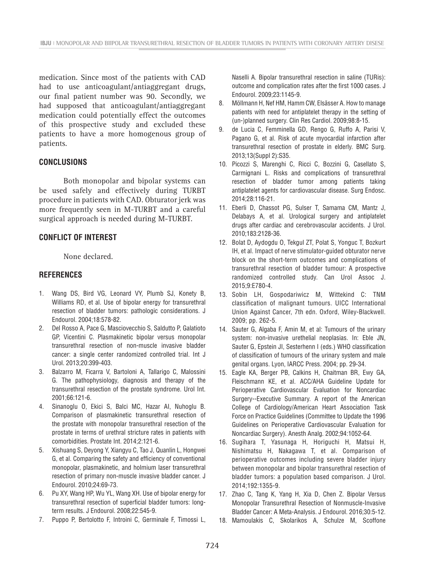medication. Since most of the patients with CAD had to use anticoagulant/antiaggregant drugs, our final patient number was 90. Secondly, we had supposed that anticoagulant/antiaggregant medication could potentially effect the outcomes of this prospective study and excluded these patients to have a more homogenous group of patients.

#### **CONCLUSIONS**

Both monopolar and bipolar systems can be used safely and effectively during TURBT procedure in patients with CAD. Obturator jerk was more frequently seen in M-TURBT and a careful surgical approach is needed during M-TURBT.

### **CONFLICT OF INTEREST**

None declared.

#### **REFERENCES**

- 1. Wang DS, Bird VG, Leonard VY, Plumb SJ, Konety B, Williams RD, et al. Use of bipolar energy for transurethral resection of bladder tumors: pathologic considerations. J Endourol. 2004;18:578-82.
- 2. Del Rosso A, Pace G, Masciovecchio S, Saldutto P, Galatioto GP, Vicentini C. Plasmakinetic bipolar versus monopolar transurethral resection of non-muscle invasive bladder cancer: a single center randomized controlled trial. Int J Urol. 2013;20:399-403.
- 3. Balzarro M, Ficarra V, Bartoloni A, Tallarigo C, Malossini G. The pathophysiology, diagnosis and therapy of the transurethral resection of the prostate syndrome. Urol Int. 2001;66:121-6.
- 4. Sinanoglu O, Ekici S, Balci MC, Hazar AI, Nuhoglu B. Comparison of plasmakinetic transurethral resection of the prostate with monopolar transurethral resection of the prostate in terms of urethral stricture rates in patients with comorbidities. Prostate Int. 2014;2:121-6.
- 5. Xishuang S, Deyong Y, Xiangyu C, Tao J, Quanlin L, Hongwei G, et al. Comparing the safety and efficiency of conventional monopolar, plasmakinetic, and holmium laser transurethral resection of primary non-muscle invasive bladder cancer. J Endourol. 2010;24:69-73.
- 6. Pu XY, Wang HP, Wu YL, Wang XH. Use of bipolar energy for transurethral resection of superficial bladder tumors: longterm results. J Endourol. 2008;22:545-9.
- 7. Puppo P, Bertolotto F, Introini C, Germinale F, Timossi L,

Naselli A. Bipolar transurethral resection in saline (TURis): outcome and complication rates after the first 1000 cases. J Endourol. 2009;23:1145-9.

- 8. Möllmann H, Nef HM, Hamm CW, Elsässer A. How to manage patients with need for antiplatelet therapy in the setting of (un-)planned surgery. Clin Res Cardiol. 2009;98:8-15.
- 9. de Lucia C, Femminella GD, Rengo G, Ruffo A, Parisi V, Pagano G, et al. Risk of acute myocardial infarction after transurethral resection of prostate in elderly. BMC Surg. 2013;13(Suppl 2):S35.
- 10. Picozzi S, Marenghi C, Ricci C, Bozzini G, Casellato S, Carmignani L. Risks and complications of transurethral resection of bladder tumor among patients taking antiplatelet agents for cardiovascular disease. Surg Endosc. 2014;28:116-21.
- 11. Eberli D, Chassot PG, Sulser T, Samama CM, Mantz J, Delabays A, et al. Urological surgery and antiplatelet drugs after cardiac and cerebrovascular accidents. J Urol. 2010;183:2128-36.
- 12. Bolat D, Aydogdu O, Tekgul ZT, Polat S, Yonguc T, Bozkurt IH, et al. Impact of nerve stimulator-guided obturator nerve block on the short-term outcomes and complications of transurethral resection of bladder tumour: A prospective randomized controlled study. Can Urol Assoc J. 2015;9:E780-4.
- 13. Sobin LH, Gospodariwicz M, Wittekind C: TNM classification of malignant tumours. UICC International Union Against Cancer, 7th edn. Oxford, Wiley-Blackwell. 2009; pp. 262-5.
- 14. Sauter G, Algaba F, Amin M, et al: Tumours of the urinary system: non-invasive urethelial neoplasias. In: Eble JN, Sauter G, Epstein JI, Sesterhenn I (eds.) WHO classification of classification of tumours of the urinary system and male genital organs. Lyon, IARCC Press. 2004; pp. 29-34.
- 15. Eagle KA, Berger PB, Calkins H, Chaitman BR, Ewy GA, Fleischmann KE, et al. ACC/AHA Guideline Update for Perioperative Cardiovascular Evaluation for Noncardiac Surgery--Executive Summary. A report of the American College of Cardiology/American Heart Association Task Force on Practice Guidelines (Committee to Update the 1996 Guidelines on Perioperative Cardiovascular Evaluation for Noncardiac Surgery). Anesth Analg. 2002;94:1052-64.
- 16. Sugihara T, Yasunaga H, Horiguchi H, Matsui H, Nishimatsu H, Nakagawa T, et al. Comparison of perioperative outcomes including severe bladder injury between monopolar and bipolar transurethral resection of bladder tumors: a population based comparison. J Urol. 2014;192:1355-9.
- 17. Zhao C, Tang K, Yang H, Xia D, Chen Z. Bipolar Versus Monopolar Transurethral Resection of Nonmuscle-Invasive Bladder Cancer: A Meta-Analysis. J Endourol. 2016;30:5-12.
- 18. Mamoulakis C, Skolarikos A, Schulze M, Scoffone